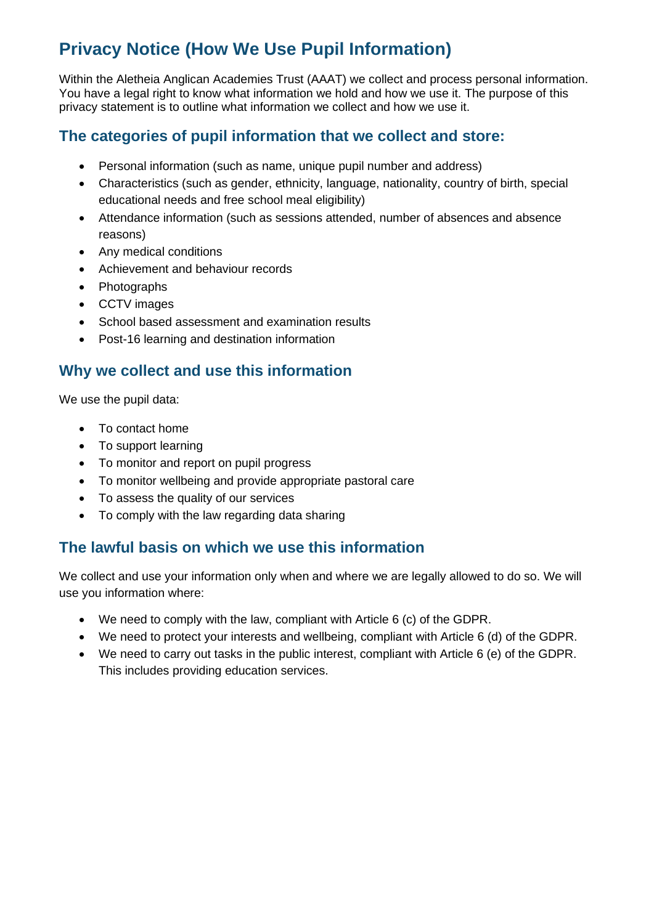# **Privacy Notice (How We Use Pupil Information)**

Within the Aletheia Anglican Academies Trust (AAAT) we collect and process personal information. You have a legal right to know what information we hold and how we use it. The purpose of this privacy statement is to outline what information we collect and how we use it.

#### **The categories of pupil information that we collect and store:**

- Personal information (such as name, unique pupil number and address)
- Characteristics (such as gender, ethnicity, language, nationality, country of birth, special educational needs and free school meal eligibility)
- Attendance information (such as sessions attended, number of absences and absence reasons)
- Any medical conditions
- Achievement and behaviour records
- Photographs
- CCTV images
- School based assessment and examination results
- Post-16 learning and destination information

#### **Why we collect and use this information**

We use the pupil data:

- To contact home
- To support learning
- To monitor and report on pupil progress
- To monitor wellbeing and provide appropriate pastoral care
- To assess the quality of our services
- To comply with the law regarding data sharing

#### **The lawful basis on which we use this information**

We collect and use your information only when and where we are legally allowed to do so. We will use you information where:

- We need to comply with the law, compliant with Article 6 (c) of the GDPR.
- We need to protect your interests and wellbeing, compliant with Article 6 (d) of the GDPR.
- We need to carry out tasks in the public interest, compliant with Article 6 (e) of the GDPR. This includes providing education services.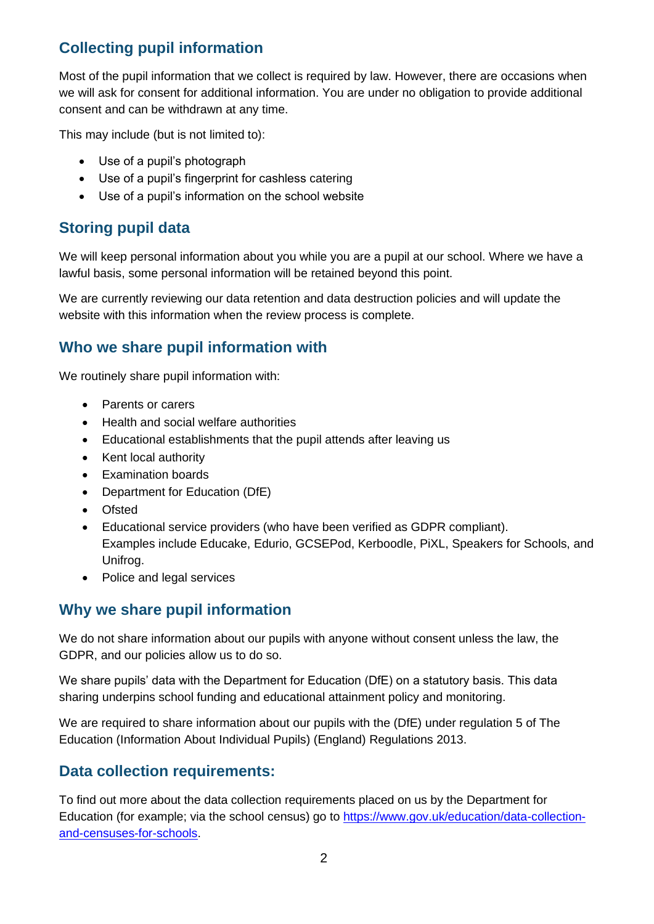## **Collecting pupil information**

Most of the pupil information that we collect is required by law. However, there are occasions when we will ask for consent for additional information. You are under no obligation to provide additional consent and can be withdrawn at any time.

This may include (but is not limited to):

- Use of a pupil's photograph
- Use of a pupil's fingerprint for cashless catering
- Use of a pupil's information on the school website

### **Storing pupil data**

We will keep personal information about you while you are a pupil at our school. Where we have a lawful basis, some personal information will be retained beyond this point.

We are currently reviewing our data retention and data destruction policies and will update the website with this information when the review process is complete.

#### **Who we share pupil information with**

We routinely share pupil information with:

- Parents or carers
- Health and social welfare authorities
- Educational establishments that the pupil attends after leaving us
- Kent local authority
- Examination boards
- Department for Education (DfE)
- Ofsted
- Educational service providers (who have been verified as GDPR compliant). Examples include Educake, Edurio, GCSEPod, Kerboodle, PiXL, Speakers for Schools, and Unifrog.
- Police and legal services

#### **Why we share pupil information**

We do not share information about our pupils with anyone without consent unless the law, the GDPR, and our policies allow us to do so.

We share pupils' data with the Department for Education (DfE) on a statutory basis. This data sharing underpins school funding and educational attainment policy and monitoring.

We are required to share information about our pupils with the (DfE) under regulation 5 of The Education (Information About Individual Pupils) (England) Regulations 2013.

#### **Data collection requirements:**

To find out more about the data collection requirements placed on us by the Department for Education (for example; via the school census) go to [https://www.gov.uk/education/data-collection](https://www.gov.uk/education/data-collection-and-censuses-for-schools)[and-censuses-for-schools.](https://www.gov.uk/education/data-collection-and-censuses-for-schools)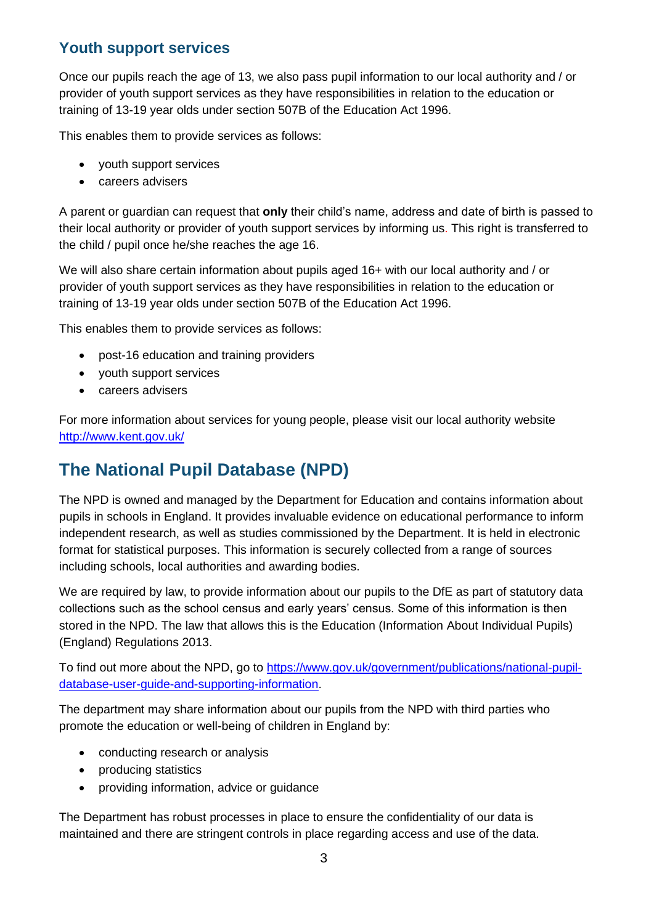### **Youth support services**

Once our pupils reach the age of 13, we also pass pupil information to our local authority and / or provider of youth support services as they have responsibilities in relation to the education or training of 13-19 year olds under section 507B of the Education Act 1996.

This enables them to provide services as follows:

- youth support services
- careers advisers

A parent or guardian can request that **only** their child's name, address and date of birth is passed to their local authority or provider of youth support services by informing us. This right is transferred to the child / pupil once he/she reaches the age 16.

We will also share certain information about pupils aged 16+ with our local authority and / or provider of youth support services as they have responsibilities in relation to the education or training of 13-19 year olds under section 507B of the Education Act 1996.

This enables them to provide services as follows:

- post-16 education and training providers
- youth support services
- careers advisers

For more information about services for young people, please visit our local authority website <http://www.kent.gov.uk/>

# **The National Pupil Database (NPD)**

The NPD is owned and managed by the Department for Education and contains information about pupils in schools in England. It provides invaluable evidence on educational performance to inform independent research, as well as studies commissioned by the Department. It is held in electronic format for statistical purposes. This information is securely collected from a range of sources including schools, local authorities and awarding bodies.

We are required by law, to provide information about our pupils to the DfE as part of statutory data collections such as the school census and early years' census. Some of this information is then stored in the NPD. The law that allows this is the Education (Information About Individual Pupils) (England) Regulations 2013.

To find out more about the NPD, go to [https://www.gov.uk/government/publications/national-pupil](https://www.gov.uk/government/publications/national-pupil-database-user-guide-and-supporting-information)[database-user-guide-and-supporting-information.](https://www.gov.uk/government/publications/national-pupil-database-user-guide-and-supporting-information)

The department may share information about our pupils from the NPD with third parties who promote the education or well-being of children in England by:

- conducting research or analysis
- producing statistics
- providing information, advice or guidance

The Department has robust processes in place to ensure the confidentiality of our data is maintained and there are stringent controls in place regarding access and use of the data.